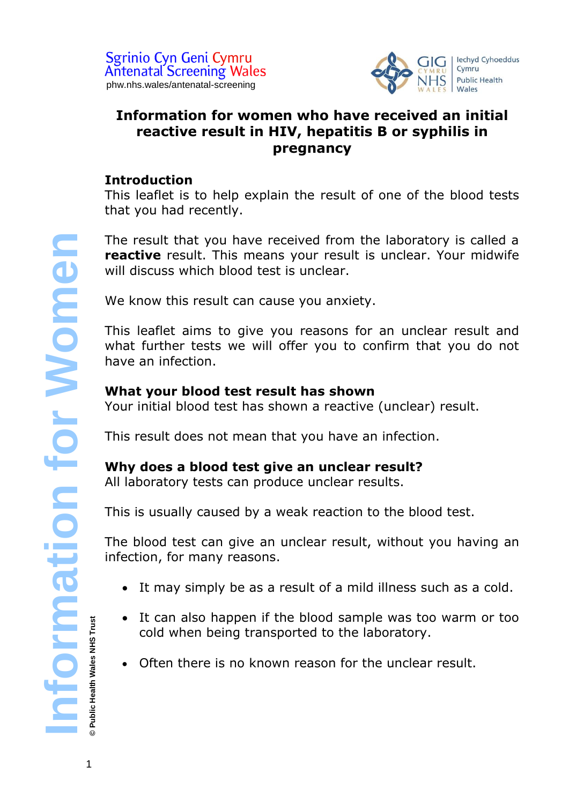

# **Information for women who have received an initial reactive result in HIV, hepatitis B or syphilis in pregnancy**

## **Introduction**

This leaflet is to help explain the result of one of the blood tests that you had recently.

The result that you have received from the laboratory is called a **reactive** result. This means your result is unclear. Your midwife will discuss which blood test is unclear.

We know this result can cause you anxiety.

This leaflet aims to give you reasons for an unclear result and what further tests we will offer you to confirm that you do not have an infection.

## **What your blood test result has shown**

Your initial blood test has shown a reactive (unclear) result.

This result does not mean that you have an infection.

# **Why does a blood test give an unclear result?**

All laboratory tests can produce unclear results.

This is usually caused by a weak reaction to the blood test.

The blood test can give an unclear result, without you having an infection, for many reasons.

- It may simply be as a result of a mild illness such as a cold.
- It can also happen if the blood sample was too warm or too cold when being transported to the laboratory.
- Often there is no known reason for the unclear result.

**© Public Health Wales NHS Trust**